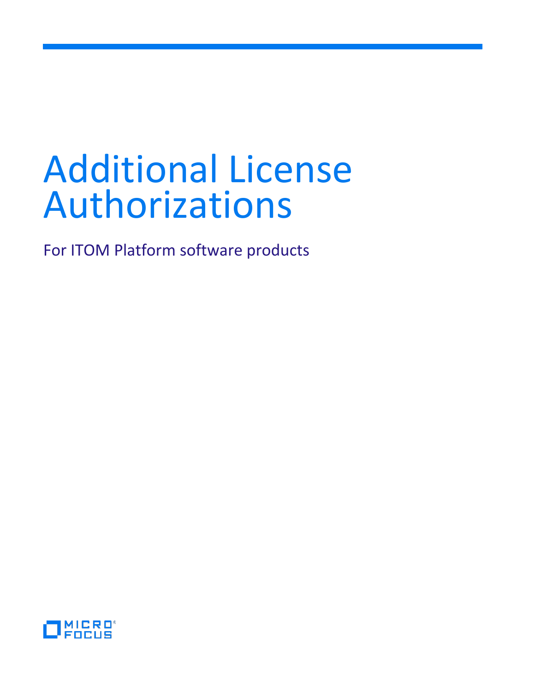# Additional License Authorizations

For ITOM Platform software products

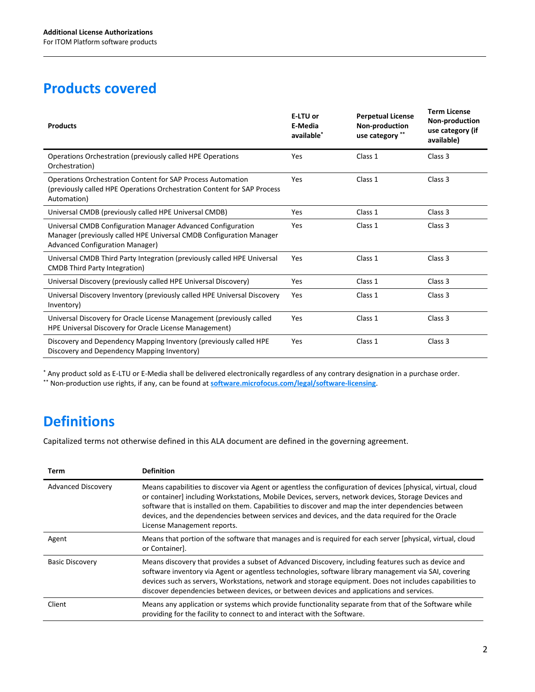# **Products covered**

| <b>Products</b>                                                                                                                                                              | E-LTU or<br>E-Media<br>available <sup>*</sup> | <b>Perpetual License</b><br>Non-production<br>use category ** | <b>Term License</b><br>Non-production<br>use category (if<br>available) |
|------------------------------------------------------------------------------------------------------------------------------------------------------------------------------|-----------------------------------------------|---------------------------------------------------------------|-------------------------------------------------------------------------|
| Operations Orchestration (previously called HPE Operations<br>Orchestration)                                                                                                 | Yes                                           | Class 1                                                       | Class <sub>3</sub>                                                      |
| <b>Operations Orchestration Content for SAP Process Automation</b><br>(previously called HPE Operations Orchestration Content for SAP Process<br>Automation)                 | Yes                                           | Class 1                                                       | Class 3                                                                 |
| Universal CMDB (previously called HPE Universal CMDB)                                                                                                                        | Yes                                           | Class 1                                                       | Class 3                                                                 |
| Universal CMDB Configuration Manager Advanced Configuration<br>Manager (previously called HPE Universal CMDB Configuration Manager<br><b>Advanced Configuration Manager)</b> | Yes                                           | Class 1                                                       | Class 3                                                                 |
| Universal CMDB Third Party Integration (previously called HPE Universal<br><b>CMDB</b> Third Party Integration)                                                              | Yes                                           | Class 1                                                       | Class 3                                                                 |
| Universal Discovery (previously called HPE Universal Discovery)                                                                                                              | Yes                                           | Class 1                                                       | Class <sub>3</sub>                                                      |
| Universal Discovery Inventory (previously called HPE Universal Discovery<br>Inventory)                                                                                       | Yes                                           | Class 1                                                       | Class 3                                                                 |
| Universal Discovery for Oracle License Management (previously called<br>HPE Universal Discovery for Oracle License Management)                                               | Yes                                           | Class 1                                                       | Class 3                                                                 |
| Discovery and Dependency Mapping Inventory (previously called HPE<br>Discovery and Dependency Mapping Inventory)                                                             | Yes                                           | Class 1                                                       | Class 3                                                                 |

\* Any product sold as E-LTU or E-Media shall be delivered electronically regardless of any contrary designation in a purchase order. \*\* Non-production use rights, if any, can be found at **software.microfocus.com/legal/software-licensing**.

# **Definitions**

Capitalized terms not otherwise defined in this ALA document are defined in the governing agreement.

| Term                      | <b>Definition</b>                                                                                                                                                                                                                                                                                                                                                                                                                                             |
|---------------------------|---------------------------------------------------------------------------------------------------------------------------------------------------------------------------------------------------------------------------------------------------------------------------------------------------------------------------------------------------------------------------------------------------------------------------------------------------------------|
| <b>Advanced Discovery</b> | Means capabilities to discover via Agent or agentless the configuration of devices [physical, virtual, cloud<br>or container] including Workstations, Mobile Devices, servers, network devices, Storage Devices and<br>software that is installed on them. Capabilities to discover and map the inter dependencies between<br>devices, and the dependencies between services and devices, and the data required for the Oracle<br>License Management reports. |
| Agent                     | Means that portion of the software that manages and is required for each server (physical, virtual, cloud<br>or Container].                                                                                                                                                                                                                                                                                                                                   |
| <b>Basic Discovery</b>    | Means discovery that provides a subset of Advanced Discovery, including features such as device and<br>software inventory via Agent or agentless technologies, software library management via SAI, covering<br>devices such as servers, Workstations, network and storage equipment. Does not includes capabilities to<br>discover dependencies between devices, or between devices and applications and services.                                           |
| Client                    | Means any application or systems which provide functionality separate from that of the Software while<br>providing for the facility to connect to and interact with the Software.                                                                                                                                                                                                                                                                             |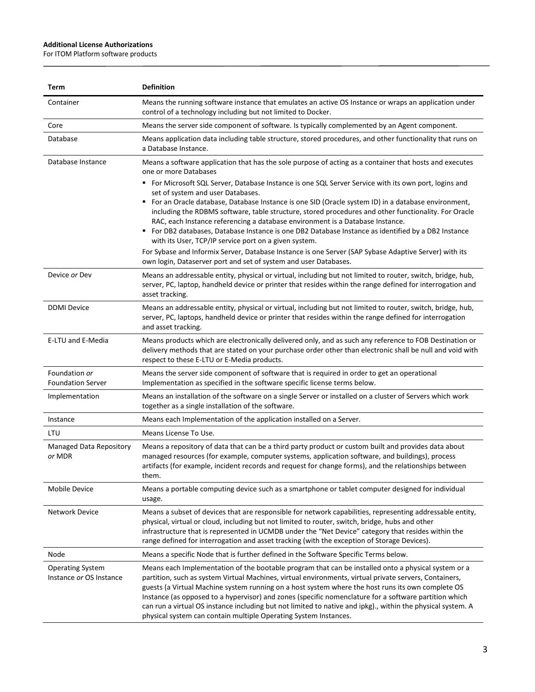#### **Additional License Authorizations**

 $\overline{a}$ 

For ITOM Platform software products

| Term                                               | <b>Definition</b>                                                                                                                                                                                                                                                                                                                                                                                                                                                                                                                                                                                              |
|----------------------------------------------------|----------------------------------------------------------------------------------------------------------------------------------------------------------------------------------------------------------------------------------------------------------------------------------------------------------------------------------------------------------------------------------------------------------------------------------------------------------------------------------------------------------------------------------------------------------------------------------------------------------------|
| Container                                          | Means the running software instance that emulates an active OS Instance or wraps an application under<br>control of a technology including but not limited to Docker.                                                                                                                                                                                                                                                                                                                                                                                                                                          |
| Core                                               | Means the server side component of software. Is typically complemented by an Agent component.                                                                                                                                                                                                                                                                                                                                                                                                                                                                                                                  |
| Database                                           | Means application data including table structure, stored procedures, and other functionality that runs on<br>a Database Instance.                                                                                                                                                                                                                                                                                                                                                                                                                                                                              |
| Database Instance                                  | Means a software application that has the sole purpose of acting as a container that hosts and executes<br>one or more Databases                                                                                                                                                                                                                                                                                                                                                                                                                                                                               |
|                                                    | " For Microsoft SQL Server, Database Instance is one SQL Server Service with its own port, logins and<br>set of system and user Databases.<br>■ For an Oracle database, Database Instance is one SID (Oracle system ID) in a database environment,<br>including the RDBMS software, table structure, stored procedures and other functionality. For Oracle<br>RAC, each Instance referencing a database environment is a Database Instance.<br>■ For DB2 databases, Database Instance is one DB2 Database Instance as identified by a DB2 Instance                                                             |
|                                                    | with its User, TCP/IP service port on a given system.<br>For Sybase and Informix Server, Database Instance is one Server (SAP Sybase Adaptive Server) with its<br>own login, Dataserver port and set of system and user Databases.                                                                                                                                                                                                                                                                                                                                                                             |
| Device or Dev                                      | Means an addressable entity, physical or virtual, including but not limited to router, switch, bridge, hub,<br>server, PC, laptop, handheld device or printer that resides within the range defined for interrogation and<br>asset tracking.                                                                                                                                                                                                                                                                                                                                                                   |
| <b>DDMI</b> Device                                 | Means an addressable entity, physical or virtual, including but not limited to router, switch, bridge, hub,<br>server, PC, laptops, handheld device or printer that resides within the range defined for interrogation<br>and asset tracking.                                                                                                                                                                                                                                                                                                                                                                  |
| E-LTU and E-Media                                  | Means products which are electronically delivered only, and as such any reference to FOB Destination or<br>delivery methods that are stated on your purchase order other than electronic shall be null and void with<br>respect to these E-LTU or E-Media products.                                                                                                                                                                                                                                                                                                                                            |
| Foundation or<br><b>Foundation Server</b>          | Means the server side component of software that is required in order to get an operational<br>Implementation as specified in the software specific license terms below.                                                                                                                                                                                                                                                                                                                                                                                                                                       |
| Implementation                                     | Means an installation of the software on a single Server or installed on a cluster of Servers which work<br>together as a single installation of the software.                                                                                                                                                                                                                                                                                                                                                                                                                                                 |
| Instance                                           | Means each Implementation of the application installed on a Server.                                                                                                                                                                                                                                                                                                                                                                                                                                                                                                                                            |
| LTU                                                | Means License To Use.                                                                                                                                                                                                                                                                                                                                                                                                                                                                                                                                                                                          |
| Managed Data Repository<br>or MDR                  | Means a repository of data that can be a third party product or custom built and provides data about<br>managed resources (for example, computer systems, application software, and buildings), process<br>artifacts (for example, incident records and request for change forms), and the relationships between<br>them.                                                                                                                                                                                                                                                                                      |
| <b>Mobile Device</b>                               | Means a portable computing device such as a smartphone or tablet computer designed for individual<br>usage.                                                                                                                                                                                                                                                                                                                                                                                                                                                                                                    |
| <b>Network Device</b>                              | Means a subset of devices that are responsible for network capabilities, representing addressable entity,<br>physical, virtual or cloud, including but not limited to router, switch, bridge, hubs and other<br>infrastructure that is represented in UCMDB under the "Net Device" category that resides within the<br>range defined for interrogation and asset tracking (with the exception of Storage Devices).                                                                                                                                                                                             |
| Node                                               | Means a specific Node that is further defined in the Software Specific Terms below.                                                                                                                                                                                                                                                                                                                                                                                                                                                                                                                            |
| <b>Operating System</b><br>Instance or OS Instance | Means each Implementation of the bootable program that can be installed onto a physical system or a<br>partition, such as system Virtual Machines, virtual environments, virtual private servers, Containers,<br>guests (a Virtual Machine system running on a host system where the host runs its own complete OS<br>Instance (as opposed to a hypervisor) and zones (specific nomenclature for a software partition which<br>can run a virtual OS instance including but not limited to native and ipkg)., within the physical system. A<br>physical system can contain multiple Operating System Instances. |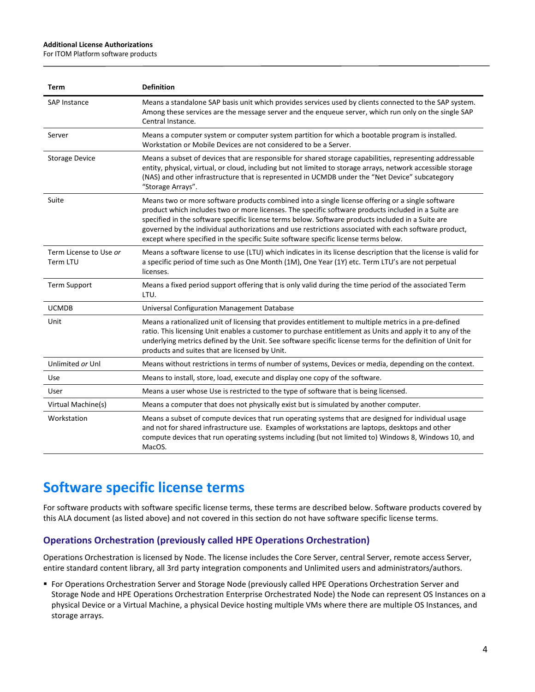#### **Additional License Authorizations**

For ITOM Platform software products

| Term                               | <b>Definition</b>                                                                                                                                                                                                                                                                                                                                                                                                                                                                                            |
|------------------------------------|--------------------------------------------------------------------------------------------------------------------------------------------------------------------------------------------------------------------------------------------------------------------------------------------------------------------------------------------------------------------------------------------------------------------------------------------------------------------------------------------------------------|
| SAP Instance                       | Means a standalone SAP basis unit which provides services used by clients connected to the SAP system.<br>Among these services are the message server and the enqueue server, which run only on the single SAP<br>Central Instance.                                                                                                                                                                                                                                                                          |
| Server                             | Means a computer system or computer system partition for which a bootable program is installed.<br>Workstation or Mobile Devices are not considered to be a Server.                                                                                                                                                                                                                                                                                                                                          |
| <b>Storage Device</b>              | Means a subset of devices that are responsible for shared storage capabilities, representing addressable<br>entity, physical, virtual, or cloud, including but not limited to storage arrays, network accessible storage<br>(NAS) and other infrastructure that is represented in UCMDB under the "Net Device" subcategory<br>"Storage Arrays".                                                                                                                                                              |
| Suite                              | Means two or more software products combined into a single license offering or a single software<br>product which includes two or more licenses. The specific software products included in a Suite are<br>specified in the software specific license terms below. Software products included in a Suite are<br>governed by the individual authorizations and use restrictions associated with each software product,<br>except where specified in the specific Suite software specific license terms below. |
| Term License to Use or<br>Term LTU | Means a software license to use (LTU) which indicates in its license description that the license is valid for<br>a specific period of time such as One Month (1M), One Year (1Y) etc. Term LTU's are not perpetual<br>licenses.                                                                                                                                                                                                                                                                             |
| <b>Term Support</b>                | Means a fixed period support offering that is only valid during the time period of the associated Term<br>LTU.                                                                                                                                                                                                                                                                                                                                                                                               |
| <b>UCMDB</b>                       | <b>Universal Configuration Management Database</b>                                                                                                                                                                                                                                                                                                                                                                                                                                                           |
| Unit                               | Means a rationalized unit of licensing that provides entitlement to multiple metrics in a pre-defined<br>ratio. This licensing Unit enables a customer to purchase entitlement as Units and apply it to any of the<br>underlying metrics defined by the Unit. See software specific license terms for the definition of Unit for<br>products and suites that are licensed by Unit.                                                                                                                           |
| Unlimited or Unl                   | Means without restrictions in terms of number of systems, Devices or media, depending on the context.                                                                                                                                                                                                                                                                                                                                                                                                        |
| Use                                | Means to install, store, load, execute and display one copy of the software.                                                                                                                                                                                                                                                                                                                                                                                                                                 |
| User                               | Means a user whose Use is restricted to the type of software that is being licensed.                                                                                                                                                                                                                                                                                                                                                                                                                         |
| Virtual Machine(s)                 | Means a computer that does not physically exist but is simulated by another computer.                                                                                                                                                                                                                                                                                                                                                                                                                        |
| Workstation                        | Means a subset of compute devices that run operating systems that are designed for individual usage<br>and not for shared infrastructure use. Examples of workstations are laptops, desktops and other<br>compute devices that run operating systems including (but not limited to) Windows 8, Windows 10, and<br>MacOS.                                                                                                                                                                                     |

## **Software specific license terms**

For software products with software specific license terms, these terms are described below. Software products covered by this ALA document (as listed above) and not covered in this section do not have software specific license terms.

#### **Operations Orchestration (previously called HPE Operations Orchestration)**

Operations Orchestration is licensed by Node. The license includes the Core Server, central Server, remote access Server, entire standard content library, all 3rd party integration components and Unlimited users and administrators/authors.

 For Operations Orchestration Server and Storage Node (previously called HPE Operations Orchestration Server and Storage Node and HPE Operations Orchestration Enterprise Orchestrated Node) the Node can represent OS Instances on a physical Device or a Virtual Machine, a physical Device hosting multiple VMs where there are multiple OS Instances, and storage arrays.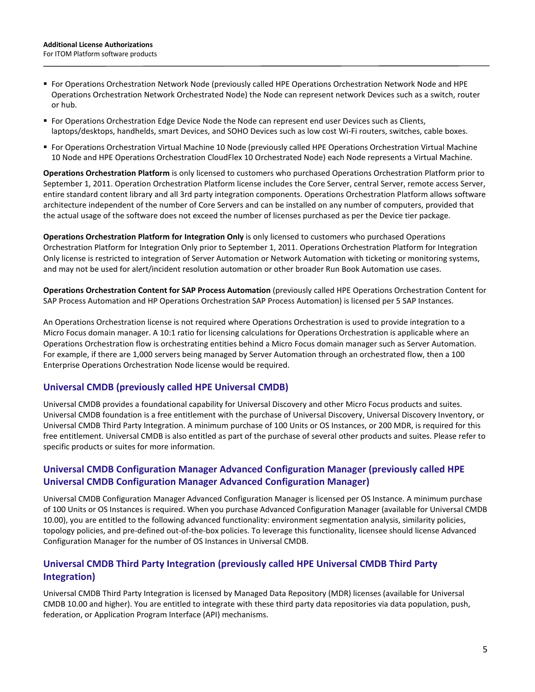- For Operations Orchestration Network Node (previously called HPE Operations Orchestration Network Node and HPE Operations Orchestration Network Orchestrated Node) the Node can represent network Devices such as a switch, router or hub.
- **For Operations Orchestration Edge Device Node the Node can represent end user Devices such as Clients,** laptops/desktops, handhelds, smart Devices, and SOHO Devices such as low cost Wi-Fi routers, switches, cable boxes.
- For Operations Orchestration Virtual Machine 10 Node (previously called HPE Operations Orchestration Virtual Machine 10 Node and HPE Operations Orchestration CloudFlex 10 Orchestrated Node) each Node represents a Virtual Machine.

**Operations Orchestration Platform** is only licensed to customers who purchased Operations Orchestration Platform prior to September 1, 2011. Operation Orchestration Platform license includes the Core Server, central Server, remote access Server, entire standard content library and all 3rd party integration components. Operations Orchestration Platform allows software architecture independent of the number of Core Servers and can be installed on any number of computers, provided that the actual usage of the software does not exceed the number of licenses purchased as per the Device tier package.

**Operations Orchestration Platform for Integration Only** is only licensed to customers who purchased Operations Orchestration Platform for Integration Only prior to September 1, 2011. Operations Orchestration Platform for Integration Only license is restricted to integration of Server Automation or Network Automation with ticketing or monitoring systems, and may not be used for alert/incident resolution automation or other broader Run Book Automation use cases.

**Operations Orchestration Content for SAP Process Automation** (previously called HPE Operations Orchestration Content for SAP Process Automation and HP Operations Orchestration SAP Process Automation) is licensed per 5 SAP Instances.

An Operations Orchestration license is not required where Operations Orchestration is used to provide integration to a Micro Focus domain manager. A 10:1 ratio for licensing calculations for Operations Orchestration is applicable where an Operations Orchestration flow is orchestrating entities behind a Micro Focus domain manager such as Server Automation. For example, if there are 1,000 servers being managed by Server Automation through an orchestrated flow, then a 100 Enterprise Operations Orchestration Node license would be required.

### **Universal CMDB (previously called HPE Universal CMDB)**

Universal CMDB provides a foundational capability for Universal Discovery and other Micro Focus products and suites. Universal CMDB foundation is a free entitlement with the purchase of Universal Discovery, Universal Discovery Inventory, or Universal CMDB Third Party Integration. A minimum purchase of 100 Units or OS Instances, or 200 MDR, is required for this free entitlement. Universal CMDB is also entitled as part of the purchase of several other products and suites. Please refer to specific products or suites for more information.

### **Universal CMDB Configuration Manager Advanced Configuration Manager (previously called HPE Universal CMDB Configuration Manager Advanced Configuration Manager)**

Universal CMDB Configuration Manager Advanced Configuration Manager is licensed per OS Instance. A minimum purchase of 100 Units or OS Instances is required. When you purchase Advanced Configuration Manager (available for Universal CMDB 10.00), you are entitled to the following advanced functionality: environment segmentation analysis, similarity policies, topology policies, and pre-defined out-of-the-box policies. To leverage this functionality, licensee should license Advanced Configuration Manager for the number of OS Instances in Universal CMDB.

## **Universal CMDB Third Party Integration (previously called HPE Universal CMDB Third Party Integration)**

Universal CMDB Third Party Integration is licensed by Managed Data Repository (MDR) licenses (available for Universal CMDB 10.00 and higher). You are entitled to integrate with these third party data repositories via data population, push, federation, or Application Program Interface (API) mechanisms.